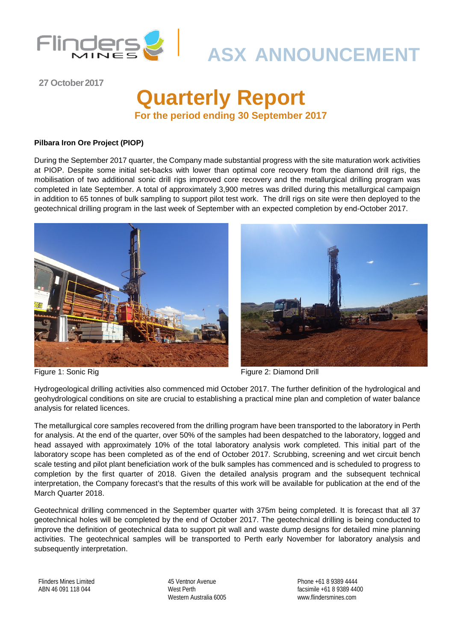

# **ASX ANNOUNCEMENT**

**27 October2017**

## **Quarterly Report For the period ending 30 September 2017**

#### **Pilbara Iron Ore Project (PIOP)**

During the September 2017 quarter, the Company made substantial progress with the site maturation work activities at PIOP. Despite some initial set-backs with lower than optimal core recovery from the diamond drill rigs, the mobilisation of two additional sonic drill rigs improved core recovery and the metallurgical drilling program was completed in late September. A total of approximately 3,900 metres was drilled during this metallurgical campaign in addition to 65 tonnes of bulk sampling to support pilot test work. The drill rigs on site were then deployed to the geotechnical drilling program in the last week of September with an expected completion by end-October 2017.





Figure 1: Sonic Rig Figure 2: Diamond Drill

Hydrogeological drilling activities also commenced mid October 2017. The further definition of the hydrological and geohydrological conditions on site are crucial to establishing a practical mine plan and completion of water balance analysis for related licences.

The metallurgical core samples recovered from the drilling program have been transported to the laboratory in Perth for analysis. At the end of the quarter, over 50% of the samples had been despatched to the laboratory, logged and head assayed with approximately 10% of the total laboratory analysis work completed. This initial part of the laboratory scope has been completed as of the end of October 2017. Scrubbing, screening and wet circuit bench scale testing and pilot plant beneficiation work of the bulk samples has commenced and is scheduled to progress to completion by the first quarter of 2018. Given the detailed analysis program and the subsequent technical interpretation, the Company forecast's that the results of this work will be available for publication at the end of the March Quarter 2018.

Geotechnical drilling commenced in the September quarter with 375m being completed. It is forecast that all 37 geotechnical holes will be completed by the end of October 2017. The geotechnical drilling is being conducted to improve the definition of geotechnical data to support pit wall and waste dump designs for detailed mine planning activities. The geotechnical samples will be transported to Perth early November for laboratory analysis and subsequently interpretation.

Flinders Mines Limited ABN 46 091 118 044

45 Ventnor Avenue West Perth Western Australia 6005

Phone +61 8 9389 4444 facsimile +61 8 9389 4400 www.flindersmines.com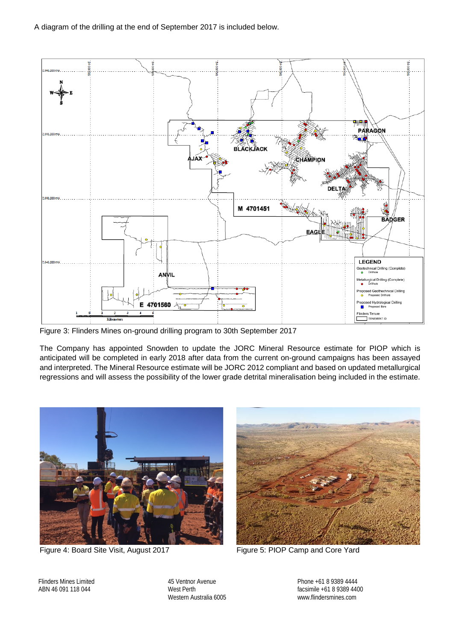

Figure 3: Flinders Mines on-ground drilling program to 30th September 2017

The Company has appointed Snowden to update the JORC Mineral Resource estimate for PIOP which is anticipated will be completed in early 2018 after data from the current on-ground campaigns has been assayed and interpreted. The Mineral Resource estimate will be JORC 2012 compliant and based on updated metallurgical regressions and will assess the possibility of the lower grade detrital mineralisation being included in the estimate.



Figure 4: Board Site Visit, August 2017 Figure 5: PIOP Camp and Core Yard



Flinders Mines Limited ABN 46 091 118 044

45 Ventnor Avenue West Perth Western Australia 6005 Phone +61 8 9389 4444 facsimile +61 8 9389 4400 www.flindersmines.com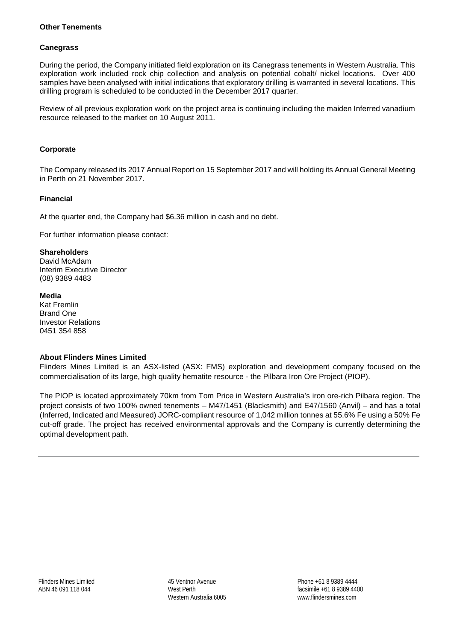#### **Other Tenements**

#### **Canegrass**

During the period, the Company initiated field exploration on its Canegrass tenements in Western Australia. This exploration work included rock chip collection and analysis on potential cobalt/ nickel locations. Over 400 samples have been analysed with initial indications that exploratory drilling is warranted in several locations. This drilling program is scheduled to be conducted in the December 2017 quarter.

Review of all previous exploration work on the project area is continuing including the maiden Inferred vanadium resource released to the market on 10 August 2011.

#### **Corporate**

The Company released its 2017 Annual Report on 15 September 2017 and will holding its Annual General Meeting in Perth on 21 November 2017.

#### **Financial**

At the quarter end, the Company had \$6.36 million in cash and no debt.

For further information please contact:

#### **Shareholders**

David McAdam Interim Executive Director (08) 9389 4483

#### **Media**

Kat Fremlin Brand One Investor Relations 0451 354 858

#### **About Flinders Mines Limited**

Flinders Mines Limited is an ASX-listed (ASX: FMS) exploration and development company focused on the commercialisation of its large, high quality hematite resource - the Pilbara Iron Ore Project (PIOP).

The PIOP is located approximately 70km from Tom Price in Western Australia's iron ore-rich Pilbara region. The project consists of two 100% owned tenements – M47/1451 (Blacksmith) and E47/1560 (Anvil) – and has a total (Inferred, Indicated and Measured) JORC-compliant resource of 1,042 million tonnes at 55.6% Fe using a 50% Fe cut-off grade. The project has received environmental approvals and the Company is currently determining the optimal development path.

45 Ventnor Avenue West Perth Western Australia 6005 Phone +61 8 9389 4444 facsimile +61 8 9389 4400 www.flindersmines.com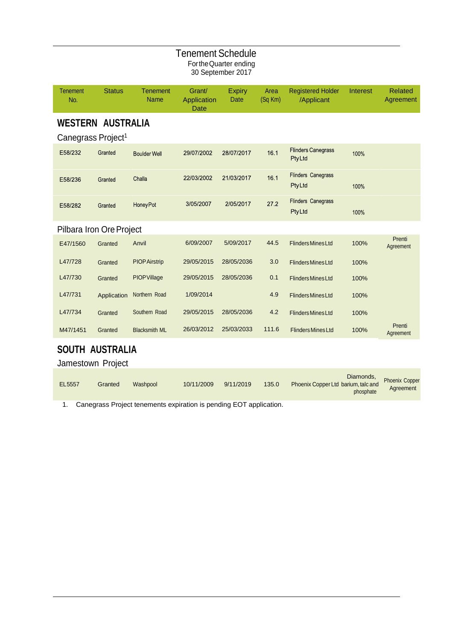|                                                            |                                             |                                | <b>Tenement Schedule</b>             | For the Quarter ending<br>30 September 2017 |                 |                                            |          |                             |
|------------------------------------------------------------|---------------------------------------------|--------------------------------|--------------------------------------|---------------------------------------------|-----------------|--------------------------------------------|----------|-----------------------------|
| <b>Tenement</b><br>No.                                     | <b>Status</b>                               | <b>Tenement</b><br><b>Name</b> | Grant/<br>Application<br><b>Date</b> | <b>Expiry</b><br>Date                       | Area<br>(Sq Km) | <b>Registered Holder</b><br>/Applicant     | Interest | <b>Related</b><br>Agreement |
| <b>WESTERN AUSTRALIA</b><br>Canegrass Project <sup>1</sup> |                                             |                                |                                      |                                             |                 |                                            |          |                             |
| E58/232                                                    | Granted                                     | <b>Boulder Well</b>            | 29/07/2002                           | 28/07/2017                                  | 16.1            | <b>Flinders Canegrass</b><br><b>PtyLtd</b> | 100%     |                             |
| E58/236                                                    | Granted                                     | Challa                         | 22/03/2002                           | 21/03/2017                                  | 16.1            | <b>Flinders Canegrass</b><br><b>PtyLtd</b> | 100%     |                             |
| E58/282                                                    | Granted                                     | <b>HoneyPot</b>                | 3/05/2007                            | 2/05/2017                                   | 27.2            | <b>Flinders Canegrass</b><br><b>PtyLtd</b> | 100%     |                             |
| Pilbara Iron Ore Project                                   |                                             |                                |                                      |                                             |                 |                                            |          |                             |
| E47/1560                                                   | Granted                                     | Anvil                          | 6/09/2007                            | 5/09/2017                                   | 44.5            | <b>Flinders Mines Ltd</b>                  | 100%     | Prenti<br>Agreement         |
| L47/728                                                    | Granted                                     | <b>PIOP Airstrip</b>           | 29/05/2015                           | 28/05/2036                                  | 3.0             | <b>Flinders Mines Ltd</b>                  | 100%     |                             |
| L47/730                                                    | Granted                                     | PIOPVillage                    | 29/05/2015                           | 28/05/2036                                  | 0.1             | <b>Flinders Mines Ltd</b>                  | 100%     |                             |
| L47/731                                                    | Application                                 | Northern Road                  | 1/09/2014                            |                                             | 4.9             | <b>Flinders Mines Ltd</b>                  | 100%     |                             |
| L47/734                                                    | Granted                                     | Southern Road                  | 29/05/2015                           | 28/05/2036                                  | 4.2             | <b>Flinders Mines Ltd</b>                  | 100%     |                             |
| M47/1451                                                   | Granted                                     | <b>Blacksmith ML</b>           | 26/03/2012                           | 25/03/2033                                  | 111.6           | <b>Flinders Mines Ltd</b>                  | 100%     | Prenti<br>Agreement         |
|                                                            | <b>SOUTH AUSTRALIA</b><br>Jamestown Project |                                |                                      |                                             |                 |                                            |          |                             |

|        |         |          |            |           |       |                                     | Diamonds,<br>rives tologied Phoenix Copper |
|--------|---------|----------|------------|-----------|-------|-------------------------------------|--------------------------------------------|
| EL5557 | Granted | Washpool | 10/11/2009 | 9/11/2019 | 135.0 | Phoenix Copper Ltd barium, talc and | Agreement                                  |
|        |         |          |            |           |       | phosphate                           |                                            |

1. Canegrass Project tenements expiration is pending EOT application.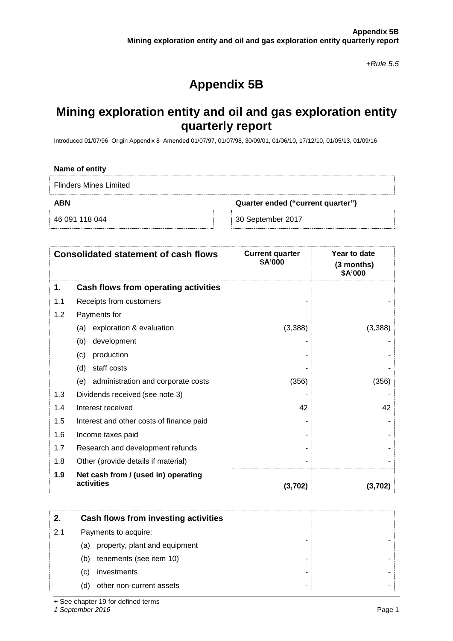*+Rule 5.5*

### **Appendix 5B**

### **Mining exploration entity and oil and gas exploration entity quarterly report**

Introduced 01/07/96 Origin Appendix 8 Amended 01/07/97, 01/07/98, 30/09/01, 01/06/10, 17/12/10, 01/05/13, 01/09/16

#### **Name of entity**

Flinders Mines Limited

**ABN Quarter ended ("current quarter")**

46 091 118 044 30 September 2017

|     | <b>Consolidated statement of cash flows</b>       | <b>Current quarter</b><br>\$A'000 | Year to date<br>(3 months)<br>\$A'000 |
|-----|---------------------------------------------------|-----------------------------------|---------------------------------------|
| 1.  | Cash flows from operating activities              |                                   |                                       |
| 1.1 | Receipts from customers                           |                                   |                                       |
| 1.2 | Payments for                                      |                                   |                                       |
|     | exploration & evaluation<br>(a)                   | (3,388)                           | (3,388)                               |
|     | development<br>(b)                                |                                   |                                       |
|     | production<br>(c)                                 |                                   |                                       |
|     | staff costs<br>(d)                                |                                   |                                       |
|     | administration and corporate costs<br>(e)         | (356)                             | (356)                                 |
| 1.3 | Dividends received (see note 3)                   |                                   |                                       |
| 1.4 | Interest received                                 | 42                                | 42                                    |
| 1.5 | Interest and other costs of finance paid          |                                   |                                       |
| 1.6 | Income taxes paid                                 |                                   |                                       |
| 1.7 | Research and development refunds                  |                                   |                                       |
| 1.8 | Other (provide details if material)               |                                   |                                       |
| 1.9 | Net cash from / (used in) operating<br>activities | (3,702)                           | (3,702)                               |

|     | Cash flows from investing activities |  |  |
|-----|--------------------------------------|--|--|
| 2.1 | Payments to acquire:                 |  |  |
|     | property, plant and equipment<br>(a) |  |  |
|     | tenements (see item 10)<br>(b)       |  |  |
|     | investments<br>(C)                   |  |  |
|     | other non-current assets<br>(d)      |  |  |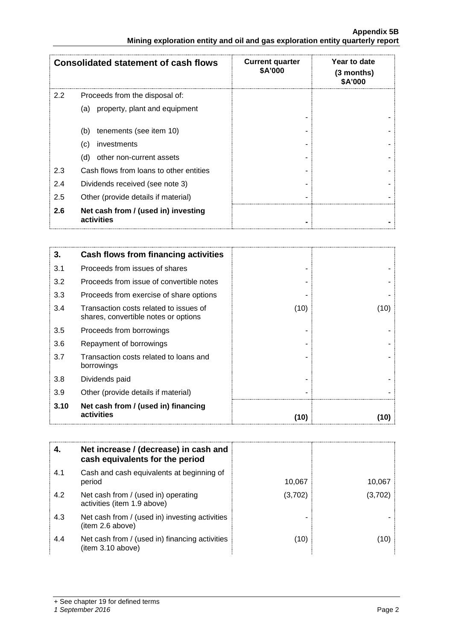#### **Appendix 5B Mining exploration entity and oil and gas exploration entity quarterly report**

|     | <b>Consolidated statement of cash flows</b>       | <b>Current quarter</b><br><b>\$A'000</b> | Year to date<br>$(3$ months)<br>\$A'000 |
|-----|---------------------------------------------------|------------------------------------------|-----------------------------------------|
| 2.2 | Proceeds from the disposal of:                    |                                          |                                         |
|     | (a) property, plant and equipment                 |                                          |                                         |
|     | tenements (see item 10)<br>(b)                    |                                          |                                         |
|     | (c)<br>investments                                |                                          |                                         |
|     | other non-current assets<br>(d)                   |                                          |                                         |
| 2.3 | Cash flows from loans to other entities           |                                          |                                         |
| 2.4 | Dividends received (see note 3)                   |                                          |                                         |
| 2.5 | Other (provide details if material)               |                                          |                                         |
| 2.6 | Net cash from / (used in) investing<br>activities |                                          |                                         |

| 3.   | Cash flows from financing activities                                           |      |      |
|------|--------------------------------------------------------------------------------|------|------|
| 3.1  | Proceeds from issues of shares                                                 |      |      |
| 3.2  | Proceeds from issue of convertible notes                                       |      |      |
| 3.3  | Proceeds from exercise of share options                                        |      |      |
| 3.4  | Transaction costs related to issues of<br>shares, convertible notes or options | (10) | (10) |
| 3.5  | Proceeds from borrowings                                                       |      |      |
| 3.6  | Repayment of borrowings                                                        |      |      |
| 3.7  | Transaction costs related to loans and<br>borrowings                           |      |      |
| 3.8  | Dividends paid                                                                 |      |      |
| 3.9  | Other (provide details if material)                                            |      |      |
| 3.10 | Net cash from / (used in) financing<br>activities                              | (10) |      |

| 4.  | Net increase / (decrease) in cash and<br>cash equivalents for the period |         |        |
|-----|--------------------------------------------------------------------------|---------|--------|
| 4.1 | Cash and cash equivalents at beginning of<br>period                      | 10,067  | 10.067 |
| 4.2 | Net cash from / (used in) operating<br>activities (item 1.9 above)       | (3,702) | (3.702 |
| 4.3 | Net cash from / (used in) investing activities<br>(item 2.6 above)       |         |        |
| 4.4 | Net cash from / (used in) financing activities<br>(item 3.10 above)      | (10)    |        |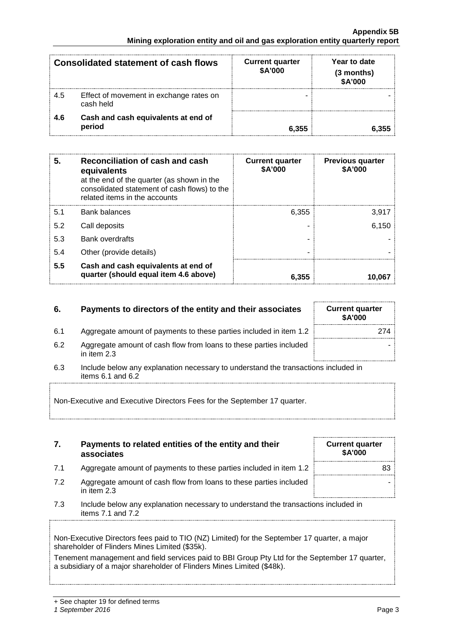| <b>Consolidated statement of cash flows</b> |                                                      | <b>Current quarter</b><br>\$A'000 | Year to date<br>(3 months)<br>\$A'000 |
|---------------------------------------------|------------------------------------------------------|-----------------------------------|---------------------------------------|
| 4.5                                         | Effect of movement in exchange rates on<br>cash held |                                   |                                       |
| 4.6                                         | Cash and cash equivalents at end of<br>period        | 6,355                             |                                       |

| 5.  | Reconciliation of cash and cash<br>equivalents<br>at the end of the quarter (as shown in the<br>consolidated statement of cash flows) to the<br>related items in the accounts | <b>Current quarter</b><br>\$A'000 | <b>Previous quarter</b><br>\$A'000 |
|-----|-------------------------------------------------------------------------------------------------------------------------------------------------------------------------------|-----------------------------------|------------------------------------|
| 5.1 | Bank balances                                                                                                                                                                 | 6,355                             | 3,917                              |
| 5.2 | Call deposits                                                                                                                                                                 |                                   | 6,150                              |
| 5.3 | <b>Bank overdrafts</b>                                                                                                                                                        |                                   |                                    |
| 5.4 | Other (provide details)                                                                                                                                                       |                                   |                                    |
| 5.5 | Cash and cash equivalents at end of<br>quarter (should equal item 4.6 above)                                                                                                  | 6.355                             |                                    |

#### **6.** Payments to directors of the entity and their associates Current quarter

- 6.1 Aggregate amount of payments to these parties included in item 1.2
- 6.2 Aggregate amount of cash flow from loans to these parties included in item 2.3
- 6.3 Include below any explanation necessary to understand the transactions in items 6.1 and 6.2

Non-Executive and Executive Directors Fees for the September 17 quarter.

| 7. | Payments to related entities of the entity and their |
|----|------------------------------------------------------|
|    | associates                                           |

- 7.1 Aggregate amount of payments to these parties included in item 1.2 **Aggregate** amount of payments to these parties included in item 1.2
- 7.2 Aggregate amount of cash flow from loans to these parties included in item 2.3
- 7.3 Include below any explanation necessary to understand the transactions included in items 7.1 and 7.2

Non-Executive Directors fees paid to TIO (NZ) Limited) for the September 17 quarter, a major shareholder of Flinders Mines Limited (\$35k).

Tenement management and field services paid to BBI Group Pty Ltd for the September 17 quarter, a subsidiary of a major shareholder of Flinders Mines Limited (\$48k).

| .           | 2/4 |
|-------------|-----|
|             |     |
| included in |     |
|             |     |

**Current quarter \$A'000**

**\$A'000**

-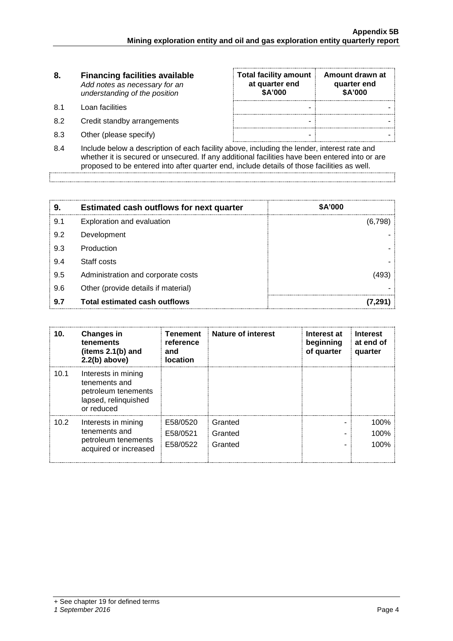| 8. | <b>Financing facilities available</b> |  |  |  |
|----|---------------------------------------|--|--|--|
|    | Add notes as necessary for an         |  |  |  |
|    | understanding of the position         |  |  |  |

- 8.1 Loan facilities
- 8.2 Credit standby arrangements
- 8.3 Other (please specify)

| <b>Total facility amount</b><br>at quarter end<br>\$A'000 | Amount drawn at<br>quarter end<br>\$A'000 |
|-----------------------------------------------------------|-------------------------------------------|
|                                                           |                                           |
|                                                           |                                           |
|                                                           |                                           |

8.4 Include below a description of each facility above, including the lender, interest rate and whether it is secured or unsecured. If any additional facilities have been entered into or are proposed to be entered into after quarter end, include details of those facilities as well.

|     | <b>Estimated cash outflows for next quarter</b> | <b>\$A'000</b> |  |
|-----|-------------------------------------------------|----------------|--|
| 9.1 | Exploration and evaluation                      |                |  |
| 9.2 | Development                                     |                |  |
| 9.3 | Production                                      |                |  |
| 9.4 | Staff costs                                     |                |  |
| 9.5 | Administration and corporate costs              |                |  |
| 9.6 | Other (provide details if material)             |                |  |
| 9.7 | <b>Total estimated cash outflows</b>            |                |  |

| 10.               | <b>Changes in</b><br>tenements<br>(items 2.1(b) and<br>$2.2(b)$ above)                            | <b>Tenement</b><br>reference<br>and<br><b>location</b> | <b>Nature of interest</b>     | Interest at<br>beginning<br>of quarter | Interest<br>at end of<br>quarter |
|-------------------|---------------------------------------------------------------------------------------------------|--------------------------------------------------------|-------------------------------|----------------------------------------|----------------------------------|
| 10.1              | Interests in mining<br>tenements and<br>petroleum tenements<br>lapsed, relinquished<br>or reduced |                                                        |                               |                                        |                                  |
| 10.2 <sub>1</sub> | Interests in mining<br>tenements and<br>petroleum tenements<br>acquired or increased              | E58/0520<br>E58/0521<br>E58/0522                       | Granted<br>Granted<br>Granted |                                        | 100%<br>100%<br>100%             |